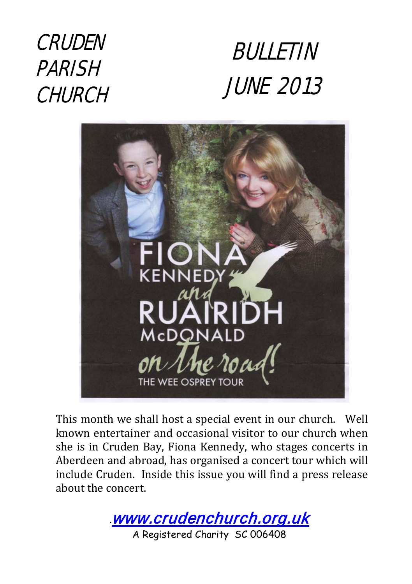# CRUDEN PARISH **CHURCH**





This month we shall host a special event in our church. Well known entertainer and occasional visitor to our church when she is in Cruden Bay, Fiona Kennedy, who stages concerts in Aberdeen and abroad, has organised a concert tour which will include Cruden. Inside this issue you will find a press release about the concert.

**.**[www.crudenchurch.org.uk](http://www.crudenchurch.org.uk/) A Registered Charity SC 006408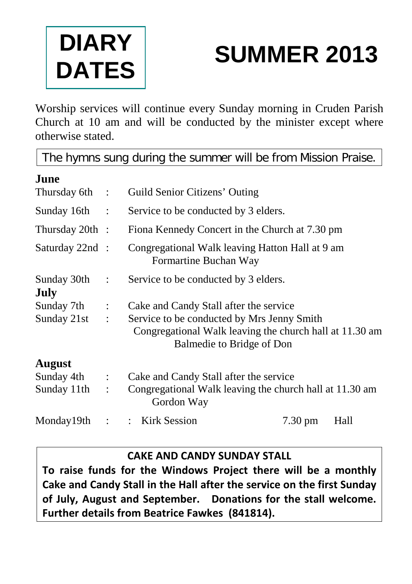

# **SUMMER 2013**

Worship services will continue every Sunday morning in Cruden Parish Church at 10 am and will be conducted by the minister except where otherwise stated.

The hymns sung during the summer will be from Mission Praise.

| Thursday 6th :                     | Guild Senior Citizens' Outing                                                                         |                   |                           |
|------------------------------------|-------------------------------------------------------------------------------------------------------|-------------------|---------------------------|
| $\sim$ 1.                          | Service to be conducted by 3 elders.                                                                  |                   |                           |
| Thursday $20th$ :                  | Fiona Kennedy Concert in the Church at 7.30 pm                                                        |                   |                           |
| Saturday 22nd :                    | Congregational Walk leaving Hatton Hall at 9 am<br>Formartine Buchan Way                              |                   |                           |
| ÷                                  | Service to be conducted by 3 elders.                                                                  |                   |                           |
|                                    |                                                                                                       |                   |                           |
| Sunday 7th<br>$\ddot{\phantom{a}}$ | Cake and Candy Stall after the service                                                                |                   |                           |
| Sunday $21st$ :                    | Service to be conducted by Mrs Jenny Smith<br>Congregational Walk leaving the church hall at 11.30 am |                   |                           |
|                                    |                                                                                                       |                   |                           |
|                                    |                                                                                                       |                   |                           |
| $\ddot{\phantom{a}}$               | Cake and Candy Stall after the service                                                                |                   |                           |
| $\ddot{\cdot}$                     | Congregational Walk leaving the church hall at 11.30 am<br>Gordon Way                                 |                   |                           |
| $\ddot{\cdot}$                     | <b>Kirk Session</b><br>$\mathbb{Z}^{\mathbb{Z}}$                                                      | $7.30 \text{ pm}$ | Hall                      |
|                                    |                                                                                                       |                   | Balmedie to Bridge of Don |

#### **CAKE AND CANDY SUNDAY STALL**

**To raise funds for the Windows Project there will be a monthly Cake and Candy Stall in the Hall after the service on the first Sunday of July, August and September. Donations for the stall welcome. Further details from Beatrice Fawkes (841814).**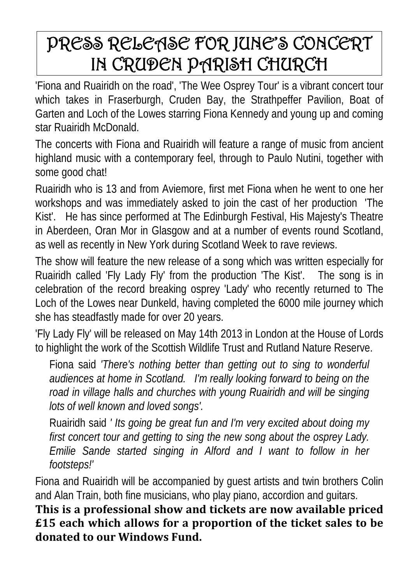## PRESS RELEASE FOR JUNE'S CONCERT IN CRUDEN PARISH CHURCH

'Fiona and Ruairidh on the road', 'The Wee Osprey Tour' is a vibrant concert tour which takes in Fraserburgh, Cruden Bay, the Strathpeffer Pavilion, Boat of Garten and Loch of the Lowes starring Fiona Kennedy and young up and coming star Ruairidh McDonald.

The concerts with Fiona and Ruairidh will feature a range of music from ancient highland music with a contemporary feel, through to Paulo Nutini, together with some good chat!

Ruairidh who is 13 and from Aviemore, first met Fiona when he went to one her workshops and was immediately asked to join the cast of her production 'The Kist'. He has since performed at The Edinburgh Festival, His Majesty's Theatre in Aberdeen, Oran Mor in Glasgow and at a number of events round Scotland, as well as recently in New York during Scotland Week to rave reviews.

The show will feature the new release of a song which was written especially for Ruairidh called 'Fly Lady Fly' from the production 'The Kist'. The song is in celebration of the record breaking osprey 'Lady' who recently returned to The Loch of the Lowes near Dunkeld, having completed the 6000 mile journey which she has steadfastly made for over 20 years.

'Fly Lady Fly' will be released on May 14th 2013 in London at the House of Lords to highlight the work of the Scottish Wildlife Trust and Rutland Nature Reserve.

Fiona said *'There's nothing better than getting out to sing to wonderful audiences at home in Scotland. I'm really looking forward to being on the road in village halls and churches with young Ruairidh and will be singing lots of well known and loved songs'.*

Ruairidh said *' Its going be great fun and I'm very excited about doing my first concert tour and getting to sing the new song about the osprey Lady. Emilie Sande started singing in Alford and I want to follow in her footsteps!'*

Fiona and Ruairidh will be accompanied by guest artists and twin brothers Colin and Alan Train, both fine musicians, who play piano, accordion and guitars.

**This is a professional show and tickets are now available priced £15 each which allows for a proportion of the ticket sales to be donated to our Windows Fund.**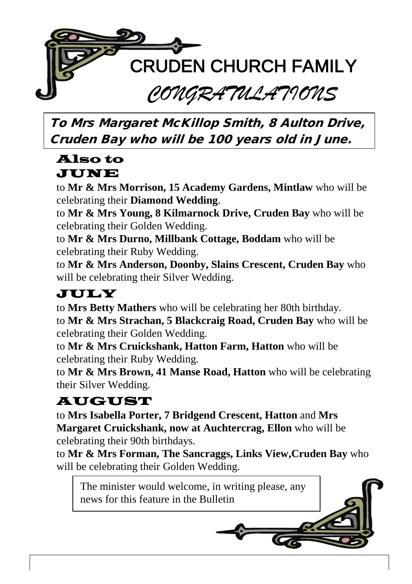

To Mrs Margaret McKillop Smith, 8 Aulton Drive, Cruden Bay who will be 100 years old in June.

#### Also to JUNE

to **Mr & Mrs Morrison, 15 Academy Gardens, Mintlaw** who will be celebrating their **Diamond Wedding**.

to **Mr & Mrs Young, 8 Kilmarnock Drive, Cruden Bay** who will be celebrating their Golden Wedding.

to **Mr & Mrs Durno, Millbank Cottage, Boddam** who will be celebrating their Ruby Wedding.

to **Mr & Mrs Anderson, Doonby, Slains Crescent, Cruden Bay** who will be celebrating their Silver Wedding.

### JULY

to **Mrs Betty Mathers** who will be celebrating her 80th birthday.

to **Mr & Mrs Strachan, 5 Blackcraig Road, Cruden Bay** who will be celebrating their Golden Wedding.

to **Mr & Mrs Cruickshank, Hatton Farm, Hatton** who will be celebrating their Ruby Wedding.

to **Mr & Mrs Brown, 41 Manse Road, Hatton** who will be celebrating their Silver Wedding.

## AUGUST

to **Mrs Isabella Porter, 7 Bridgend Crescent, Hatton** and **Mrs Margaret Cruickshank, now at Auchtercrag, Ellon** who will be celebrating their 90th birthdays.

to **Mr & Mrs Forman, The Sancraggs, Links View,Cruden Bay** who will be celebrating their Golden Wedding.

The minister would welcome, in writing please, any news for this feature in the Bulletin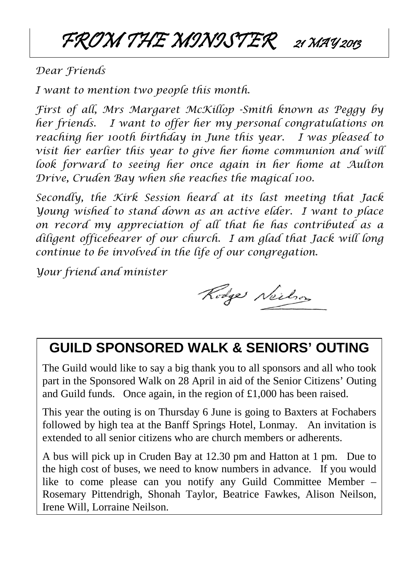FROM THE MINISTER 21 MAY 2013

*Dear Friends* 

*I want to mention two people this month.*

*First of all, Mrs Margaret McKillop -Smith known as Peggy by her friends. I want to offer her my personal congratulations on reaching her 100th birthday in June this year. I was pleased to visit her earlier this year to give her home communion and will look forward to seeing her once again in her home at Aulton Drive, Cruden Bay when she reaches the magical 100.*

*Secondly, the Kirk Session heard at its last meeting that Jack Young wished to stand down as an active elder. I want to place on record my appreciation of all that he has contributed as a diligent officebearer of our church. I am glad that Jack will long continue to be involved in the life of our congregation.*

*Your friend and minister*

Rodge Neilson

### **GUILD SPONSORED WALK & SENIORS' OUTING**

The Guild would like to say a big thank you to all sponsors and all who took part in the Sponsored Walk on 28 April in aid of the Senior Citizens' Outing and Guild funds. Once again, in the region of £1,000 has been raised.

This year the outing is on Thursday 6 June is going to Baxters at Fochabers followed by high tea at the Banff Springs Hotel, Lonmay. An invitation is extended to all senior citizens who are church members or adherents.

A bus will pick up in Cruden Bay at 12.30 pm and Hatton at 1 pm. Due to the high cost of buses, we need to know numbers in advance. If you would like to come please can you notify any Guild Committee Member – Rosemary Pittendrigh, Shonah Taylor, Beatrice Fawkes, Alison Neilson, Irene Will, Lorraine Neilson.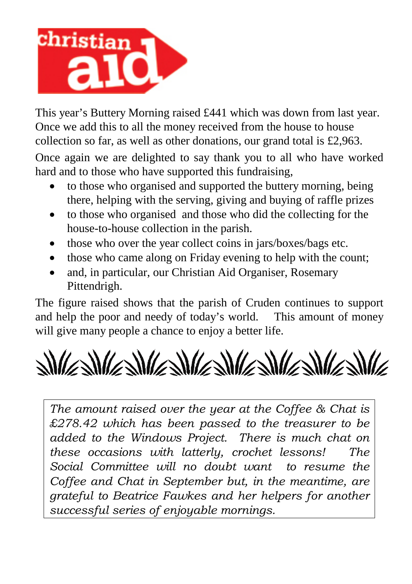

This year's Buttery Morning raised £441 which was down from last year. Once we add this to all the money received from the house to house collection so far, as well as other donations, our grand total is £2,963. Once again we are delighted to say thank you to all who have worked hard and to those who have supported this fundraising,

- to those who organised and supported the buttery morning, being there, helping with the serving, giving and buying of raffle prizes
- to those who organised and those who did the collecting for the house-to-house collection in the parish.
- those who over the year collect coins in jars/boxes/bags etc.
- those who came along on Friday evening to help with the count;
- and, in particular, our Christian Aid Organiser, Rosemary Pittendrigh.

The figure raised shows that the parish of Cruden continues to support and help the poor and needy of today's world. This amount of money will give many people a chance to enjoy a better life.

 $\frac{1}{2} \frac{1}{\sqrt{2}} \frac{1}{\sqrt{2}} \frac{1}{\sqrt{2}} \frac{1}{\sqrt{2}} \frac{1}{\sqrt{2}} \frac{1}{\sqrt{2}} \frac{1}{\sqrt{2}} \frac{1}{\sqrt{2}} \frac{1}{\sqrt{2}} \frac{1}{\sqrt{2}} \frac{1}{\sqrt{2}} \frac{1}{\sqrt{2}} \frac{1}{\sqrt{2}} \frac{1}{\sqrt{2}} \frac{1}{\sqrt{2}} \frac{1}{\sqrt{2}} \frac{1}{\sqrt{2}} \frac{1}{\sqrt{2}} \frac{1}{\sqrt{2}} \frac{1}{\sqrt{2}} \frac{1}{\sqrt{2}} \frac{$ 

*The amount raised over the year at the Coffee & Chat is £278.42 which has been passed to the treasurer to be added to the Windows Project. There is much chat on these occasions with latterly, crochet lessons! The Social Committee will no doubt want to resume the Coffee and Chat in September but, in the meantime, are grateful to Beatrice Fawkes and her helpers for another successful series of enjoyable mornings.*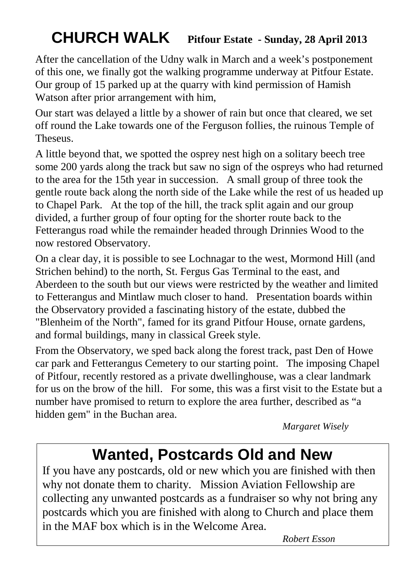## **CHURCH WALK Pitfour Estate - Sunday, 28 April <sup>2013</sup>**

After the cancellation of the Udny walk in March and a week's postponement of this one, we finally got the walking programme underway at Pitfour Estate. Our group of 15 parked up at the quarry with kind permission of Hamish Watson after prior arrangement with him,

Our start was delayed a little by a shower of rain but once that cleared, we set off round the Lake towards one of the Ferguson follies, the ruinous Temple of **Theseus**.

A little beyond that, we spotted the osprey nest high on a solitary beech tree some 200 yards along the track but saw no sign of the ospreys who had returned to the area for the 15th year in succession. A small group of three took the gentle route back along the north side of the Lake while the rest of us headed up to Chapel Park. At the top of the hill, the track split again and our group divided, a further group of four opting for the shorter route back to the Fetterangus road while the remainder headed through Drinnies Wood to the now restored Observatory.

On a clear day, it is possible to see Lochnagar to the west, Mormond Hill (and Strichen behind) to the north, St. Fergus Gas Terminal to the east, and Aberdeen to the south but our views were restricted by the weather and limited to Fetterangus and Mintlaw much closer to hand. Presentation boards within the Observatory provided a fascinating history of the estate, dubbed the "Blenheim of the North", famed for its grand Pitfour House, ornate gardens, and formal buildings, many in classical Greek style.

From the Observatory, we sped back along the forest track, past Den of Howe car park and Fetterangus Cemetery to our starting point. The imposing Chapel of Pitfour, recently restored as a private dwellinghouse, was a clear landmark for us on the brow of the hill. For some, this was a first visit to the Estate but a number have promised to return to explore the area further, described as "a hidden gem" in the Buchan area.

*Margaret Wisely*

## **Wanted, Postcards Old and New**

If you have any postcards, old or new which you are finished with then why not donate them to charity. Mission Aviation Fellowship are collecting any unwanted postcards as a fundraiser so why not bring any postcards which you are finished with along to Church and place them in the MAF box which is in the Welcome Area.

 *Robert Esson*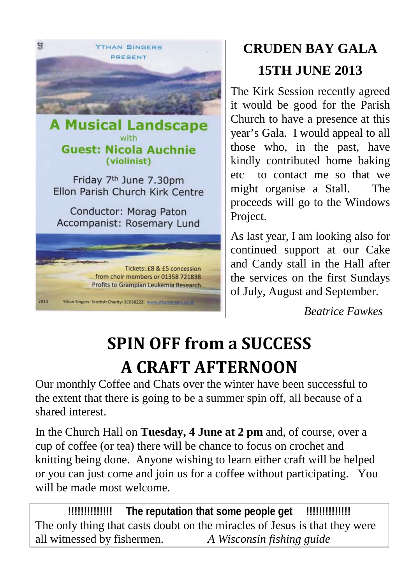

Friday 7<sup>th</sup> June 7.30pm Ellon Parish Church Kirk Centre

Conductor: Morag Paton Accompanist: Rosemary Lund



## **CRUDEN BAY GALA 15TH JUNE 2013**

The Kirk Session recently agreed it would be good for the Parish Church to have a presence at this year's Gala. I would appeal to all those who, in the past, have kindly contributed home baking etc to contact me so that we might organise a Stall. The proceeds will go to the Windows Project.

As last year, I am looking also for continued support at our Cake and Candy stall in the Hall after the services on the first Sundays of July, August and September.

*Beatrice Fawkes*

# **SPIN OFF from a SUCCESS A CRAFT AFTERNOON**

Our monthly Coffee and Chats over the winter have been successful to the extent that there is going to be a summer spin off, all because of a shared interest.

In the Church Hall on **Tuesday, 4 June at 2 pm** and, of course, over a cup of coffee (or tea) there will be chance to focus on crochet and knitting being done. Anyone wishing to learn either craft will be helped or you can just come and join us for a coffee without participating. You will be made most welcome.

**!!!!!!!!!!!!!! The reputation that some people get !!!!!!!!!!!!!!** The only thing that casts doubt on the miracles of Jesus is that they were all witnessed by fishermen. *A Wisconsin fishing guide*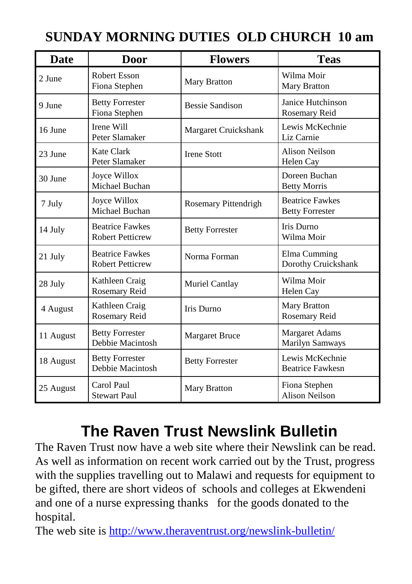| <b>Date</b> | <b>Door</b>                                       | <b>Flowers</b>         | <b>Teas</b>                                      |  |
|-------------|---------------------------------------------------|------------------------|--------------------------------------------------|--|
| 2 June      | <b>Robert Esson</b><br>Fiona Stephen              | <b>Mary Bratton</b>    | Wilma Moir<br><b>Mary Bratton</b>                |  |
| 9 June      | <b>Betty Forrester</b><br>Fiona Stephen           | Bessie Sandison        | Janice Hutchinson<br>Rosemary Reid               |  |
| 16 June     | Irene Will<br>Peter Slamaker                      | Margaret Cruickshank   | Lewis McKechnie<br>Liz Carnie                    |  |
| 23 June     | Kate Clark<br>Peter Slamaker                      | <b>Irene Stott</b>     | Alison Neilson<br>Helen Cay                      |  |
| 30 June     | Joyce Willox<br>Michael Buchan                    |                        | Doreen Buchan<br><b>Betty Morris</b>             |  |
| 7 July      | Joyce Willox<br>Michael Buchan                    | Rosemary Pittendrigh   | <b>Beatrice Fawkes</b><br><b>Betty Forrester</b> |  |
| 14 July     | <b>Beatrice Fawkes</b><br><b>Robert Petticrew</b> | <b>Betty Forrester</b> | Iris Durno<br>Wilma Moir                         |  |
| 21 July     | <b>Beatrice Fawkes</b><br><b>Robert Petticrew</b> | Norma Forman           | Elma Cumming<br>Dorothy Cruickshank              |  |
| 28 July     | Kathleen Craig<br>Rosemary Reid                   | Muriel Cantlay         | Wilma Moir<br>Helen Cay                          |  |
| 4 August    | Kathleen Craig<br>Rosemary Reid                   | Iris Durno             | <b>Mary Bratton</b><br>Rosemary Reid             |  |
| 11 August   | <b>Betty Forrester</b><br>Debbie Macintosh        | <b>Margaret Bruce</b>  | <b>Margaret Adams</b><br>Marilyn Samways         |  |
| 18 August   | <b>Betty Forrester</b><br>Debbie Macintosh        | <b>Betty Forrester</b> | Lewis McKechnie<br><b>Beatrice Fawkesn</b>       |  |
| 25 August   | Carol Paul<br><b>Stewart Paul</b>                 | Mary Bratton           | Fiona Stephen<br><b>Alison Neilson</b>           |  |

## **SUNDAY MORNING DUTIES OLD CHURCH 10 am**

## **The Raven Trust Newslink Bulletin**

The Raven Trust now have a web site where their Newslink can be read. As well as information on recent work carried out by the Trust, progress with the supplies travelling out to Malawi and requests for equipment to be gifted, there are short videos of schools and colleges at Ekwendeni and one of a nurse expressing thanks for the goods donated to the hospital.

The web site is<http://www.theraventrust.org/newslink-bulletin/>